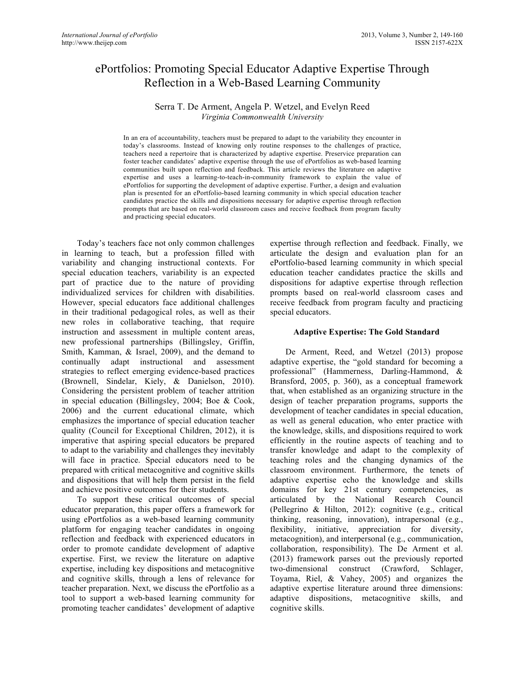# ePortfolios: Promoting Special Educator Adaptive Expertise Through Reflection in a Web-Based Learning Community

## Serra T. De Arment, Angela P. Wetzel, and Evelyn Reed *Virginia Commonwealth University*

In an era of accountability, teachers must be prepared to adapt to the variability they encounter in today's classrooms. Instead of knowing only routine responses to the challenges of practice, teachers need a repertoire that is characterized by adaptive expertise. Preservice preparation can foster teacher candidates' adaptive expertise through the use of ePortfolios as web-based learning communities built upon reflection and feedback. This article reviews the literature on adaptive expertise and uses a learning-to-teach-in-community framework to explain the value of ePortfolios for supporting the development of adaptive expertise. Further, a design and evaluation plan is presented for an ePortfolio-based learning community in which special education teacher candidates practice the skills and dispositions necessary for adaptive expertise through reflection prompts that are based on real-world classroom cases and receive feedback from program faculty and practicing special educators.

Today's teachers face not only common challenges in learning to teach, but a profession filled with variability and changing instructional contexts. For special education teachers, variability is an expected part of practice due to the nature of providing individualized services for children with disabilities. However, special educators face additional challenges in their traditional pedagogical roles, as well as their new roles in collaborative teaching, that require instruction and assessment in multiple content areas, new professional partnerships (Billingsley, Griffin, Smith, Kamman, & Israel, 2009), and the demand to continually adapt instructional and assessment strategies to reflect emerging evidence-based practices (Brownell, Sindelar, Kiely, & Danielson, 2010). Considering the persistent problem of teacher attrition in special education (Billingsley, 2004; Boe & Cook, 2006) and the current educational climate, which emphasizes the importance of special education teacher quality (Council for Exceptional Children, 2012), it is imperative that aspiring special educators be prepared to adapt to the variability and challenges they inevitably will face in practice. Special educators need to be prepared with critical metacognitive and cognitive skills and dispositions that will help them persist in the field and achieve positive outcomes for their students.

To support these critical outcomes of special educator preparation, this paper offers a framework for using ePortfolios as a web-based learning community platform for engaging teacher candidates in ongoing reflection and feedback with experienced educators in order to promote candidate development of adaptive expertise. First, we review the literature on adaptive expertise, including key dispositions and metacognitive and cognitive skills, through a lens of relevance for teacher preparation. Next, we discuss the ePortfolio as a tool to support a web-based learning community for promoting teacher candidates' development of adaptive

expertise through reflection and feedback. Finally, we articulate the design and evaluation plan for an ePortfolio-based learning community in which special education teacher candidates practice the skills and dispositions for adaptive expertise through reflection prompts based on real-world classroom cases and receive feedback from program faculty and practicing special educators.

#### **Adaptive Expertise: The Gold Standard**

De Arment, Reed, and Wetzel (2013) propose adaptive expertise, the "gold standard for becoming a professional" (Hammerness, Darling-Hammond, & Bransford, 2005, p. 360), as a conceptual framework that, when established as an organizing structure in the design of teacher preparation programs, supports the development of teacher candidates in special education, as well as general education, who enter practice with the knowledge, skills, and dispositions required to work efficiently in the routine aspects of teaching and to transfer knowledge and adapt to the complexity of teaching roles and the changing dynamics of the classroom environment. Furthermore, the tenets of adaptive expertise echo the knowledge and skills domains for key 21st century competencies, as articulated by the National Research Council (Pellegrino & Hilton, 2012): cognitive (e.g., critical thinking, reasoning, innovation), intrapersonal (e.g., flexibility, initiative, appreciation for diversity, metacognition), and interpersonal (e.g., communication, collaboration, responsibility). The De Arment et al. (2013) framework parses out the previously reported two-dimensional construct (Crawford, Schlager, Toyama, Riel, & Vahey, 2005) and organizes the adaptive expertise literature around three dimensions: adaptive dispositions, metacognitive skills, and cognitive skills.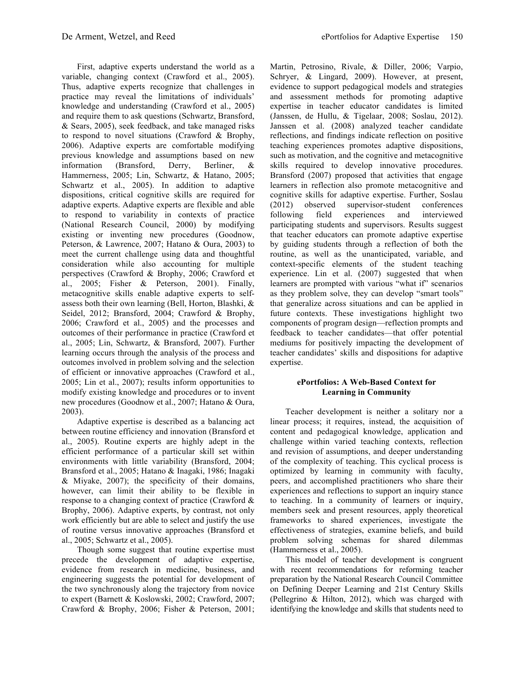First, adaptive experts understand the world as a variable, changing context (Crawford et al., 2005). Thus, adaptive experts recognize that challenges in practice may reveal the limitations of individuals' knowledge and understanding (Crawford et al., 2005) and require them to ask questions (Schwartz, Bransford, & Sears, 2005), seek feedback, and take managed risks to respond to novel situations (Crawford & Brophy, 2006). Adaptive experts are comfortable modifying previous knowledge and assumptions based on new information (Bransford, Derry, Berliner, & Hammerness, 2005; Lin, Schwartz, & Hatano, 2005; Schwartz et al., 2005). In addition to adaptive dispositions, critical cognitive skills are required for adaptive experts. Adaptive experts are flexible and able to respond to variability in contexts of practice (National Research Council, 2000) by modifying existing or inventing new procedures (Goodnow, Peterson, & Lawrence, 2007; Hatano & Oura, 2003) to meet the current challenge using data and thoughtful consideration while also accounting for multiple perspectives (Crawford & Brophy, 2006; Crawford et al., 2005; Fisher & Peterson, 2001). Finally, metacognitive skills enable adaptive experts to selfassess both their own learning (Bell, Horton, Blashki, & Seidel, 2012; Bransford, 2004; Crawford & Brophy, 2006; Crawford et al., 2005) and the processes and outcomes of their performance in practice (Crawford et al., 2005; Lin, Schwartz, & Bransford, 2007). Further learning occurs through the analysis of the process and outcomes involved in problem solving and the selection of efficient or innovative approaches (Crawford et al., 2005; Lin et al., 2007); results inform opportunities to modify existing knowledge and procedures or to invent new procedures (Goodnow et al., 2007; Hatano & Oura, 2003).

Adaptive expertise is described as a balancing act between routine efficiency and innovation (Bransford et al., 2005). Routine experts are highly adept in the efficient performance of a particular skill set within environments with little variability (Bransford, 2004; Bransford et al., 2005; Hatano & Inagaki, 1986; Inagaki & Miyake, 2007); the specificity of their domains, however, can limit their ability to be flexible in response to a changing context of practice (Crawford & Brophy, 2006). Adaptive experts, by contrast, not only work efficiently but are able to select and justify the use of routine versus innovative approaches (Bransford et al., 2005; Schwartz et al., 2005).

Though some suggest that routine expertise must precede the development of adaptive expertise, evidence from research in medicine, business, and engineering suggests the potential for development of the two synchronously along the trajectory from novice to expert (Barnett & Koslowski, 2002; Crawford, 2007; Crawford & Brophy, 2006; Fisher & Peterson, 2001; Martin, Petrosino, Rivale, & Diller, 2006; Varpio, Schryer, & Lingard, 2009). However, at present, evidence to support pedagogical models and strategies and assessment methods for promoting adaptive expertise in teacher educator candidates is limited (Janssen, de Hullu, & Tigelaar, 2008; Soslau, 2012). Janssen et al. (2008) analyzed teacher candidate reflections, and findings indicate reflection on positive teaching experiences promotes adaptive dispositions, such as motivation, and the cognitive and metacognitive skills required to develop innovative procedures. Bransford (2007) proposed that activities that engage learners in reflection also promote metacognitive and cognitive skills for adaptive expertise. Further, Soslau (2012) observed supervisor-student conferences following field experiences and interviewed participating students and supervisors. Results suggest that teacher educators can promote adaptive expertise by guiding students through a reflection of both the routine, as well as the unanticipated, variable, and context-specific elements of the student teaching experience. Lin et al. (2007) suggested that when learners are prompted with various "what if" scenarios as they problem solve, they can develop "smart tools" that generalize across situations and can be applied in future contexts. These investigations highlight two components of program design—reflection prompts and feedback to teacher candidates—that offer potential mediums for positively impacting the development of teacher candidates' skills and dispositions for adaptive expertise.

#### **ePortfolios: A Web-Based Context for Learning in Community**

Teacher development is neither a solitary nor a linear process; it requires, instead, the acquisition of content and pedagogical knowledge, application and challenge within varied teaching contexts, reflection and revision of assumptions, and deeper understanding of the complexity of teaching. This cyclical process is optimized by learning in community with faculty, peers, and accomplished practitioners who share their experiences and reflections to support an inquiry stance to teaching. In a community of learners or inquiry, members seek and present resources, apply theoretical frameworks to shared experiences, investigate the effectiveness of strategies, examine beliefs, and build problem solving schemas for shared dilemmas (Hammerness et al., 2005).

This model of teacher development is congruent with recent recommendations for reforming teacher preparation by the National Research Council Committee on Defining Deeper Learning and 21st Century Skills (Pellegrino & Hilton, 2012), which was charged with identifying the knowledge and skills that students need to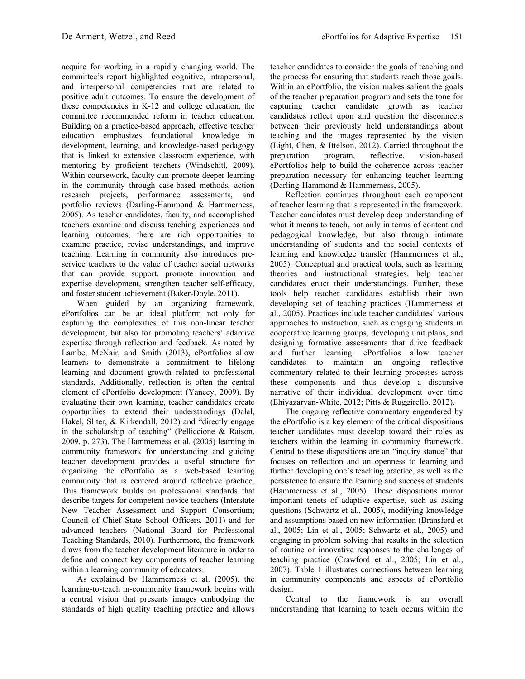acquire for working in a rapidly changing world. The committee's report highlighted cognitive, intrapersonal, and interpersonal competencies that are related to positive adult outcomes. To ensure the development of these competencies in K-12 and college education, the committee recommended reform in teacher education. Building on a practice-based approach, effective teacher education emphasizes foundational knowledge in development, learning, and knowledge-based pedagogy that is linked to extensive classroom experience, with mentoring by proficient teachers (Windschitl, 2009). Within coursework, faculty can promote deeper learning in the community through case-based methods, action research projects, performance assessments, and portfolio reviews (Darling-Hammond & Hammerness, 2005). As teacher candidates, faculty, and accomplished teachers examine and discuss teaching experiences and learning outcomes, there are rich opportunities to examine practice, revise understandings, and improve teaching. Learning in community also introduces preservice teachers to the value of teacher social networks that can provide support, promote innovation and expertise development, strengthen teacher self-efficacy, and foster student achievement (Baker-Doyle, 2011).

When guided by an organizing framework, ePortfolios can be an ideal platform not only for capturing the complexities of this non-linear teacher development, but also for promoting teachers' adaptive expertise through reflection and feedback. As noted by Lambe, McNair, and Smith (2013), ePortfolios allow learners to demonstrate a commitment to lifelong learning and document growth related to professional standards. Additionally, reflection is often the central element of ePortfolio development (Yancey, 2009). By evaluating their own learning, teacher candidates create opportunities to extend their understandings (Dalal, Hakel, Sliter, & Kirkendall, 2012) and "directly engage in the scholarship of teaching" (Pelliccione & Raison, 2009, p. 273). The Hammerness et al. (2005) learning in community framework for understanding and guiding teacher development provides a useful structure for organizing the ePortfolio as a web-based learning community that is centered around reflective practice. This framework builds on professional standards that describe targets for competent novice teachers (Interstate New Teacher Assessment and Support Consortium; Council of Chief State School Officers, 2011) and for advanced teachers (National Board for Professional Teaching Standards, 2010). Furthermore, the framework draws from the teacher development literature in order to define and connect key components of teacher learning within a learning community of educators.

As explained by Hammerness et al. (2005), the learning-to-teach in-community framework begins with a central vision that presents images embodying the standards of high quality teaching practice and allows

teacher candidates to consider the goals of teaching and the process for ensuring that students reach those goals. Within an ePortfolio, the vision makes salient the goals of the teacher preparation program and sets the tone for capturing teacher candidate growth as teacher candidates reflect upon and question the disconnects between their previously held understandings about teaching and the images represented by the vision (Light, Chen, & Ittelson, 2012). Carried throughout the preparation program, reflective, vision-based ePortfolios help to build the coherence across teacher preparation necessary for enhancing teacher learning (Darling-Hammond & Hammerness, 2005).

Reflection continues throughout each component of teacher learning that is represented in the framework. Teacher candidates must develop deep understanding of what it means to teach, not only in terms of content and pedagogical knowledge, but also through intimate understanding of students and the social contexts of learning and knowledge transfer (Hammerness et al., 2005). Conceptual and practical tools, such as learning theories and instructional strategies, help teacher candidates enact their understandings. Further, these tools help teacher candidates establish their own developing set of teaching practices (Hammerness et al., 2005). Practices include teacher candidates' various approaches to instruction, such as engaging students in cooperative learning groups, developing unit plans, and designing formative assessments that drive feedback and further learning. ePortfolios allow teacher candidates to maintain an ongoing reflective commentary related to their learning processes across these components and thus develop a discursive narrative of their individual development over time (Ehiyazaryan-White, 2012; Pitts & Ruggirello, 2012).

The ongoing reflective commentary engendered by the ePortfolio is a key element of the critical dispositions teacher candidates must develop toward their roles as teachers within the learning in community framework. Central to these dispositions are an "inquiry stance" that focuses on reflection and an openness to learning and further developing one's teaching practice, as well as the persistence to ensure the learning and success of students (Hammerness et al., 2005). These dispositions mirror important tenets of adaptive expertise, such as asking questions (Schwartz et al., 2005), modifying knowledge and assumptions based on new information (Bransford et al., 2005; Lin et al., 2005; Schwartz et al., 2005) and engaging in problem solving that results in the selection of routine or innovative responses to the challenges of teaching practice (Crawford et al., 2005; Lin et al., 2007). Table 1 illustrates connections between learning in community components and aspects of ePortfolio design.

Central to the framework is an overall understanding that learning to teach occurs within the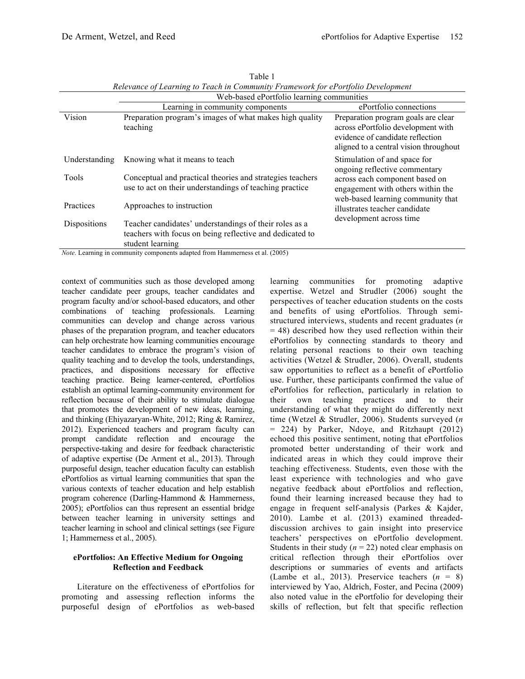|                     | Web-based ePortfolio learning communities                                                                                                                                                                         |                                                                                                                                                         |  |
|---------------------|-------------------------------------------------------------------------------------------------------------------------------------------------------------------------------------------------------------------|---------------------------------------------------------------------------------------------------------------------------------------------------------|--|
|                     | Learning in community components                                                                                                                                                                                  | ePortfolio connections                                                                                                                                  |  |
| Vision              | Preparation program's images of what makes high quality<br>teaching                                                                                                                                               | Preparation program goals are clear<br>across ePortfolio development with<br>evidence of candidate reflection<br>aligned to a central vision throughout |  |
| Understanding       | Knowing what it means to teach                                                                                                                                                                                    | Stimulation of and space for<br>ongoing reflective commentary                                                                                           |  |
| Tools               | Conceptual and practical theories and strategies teachers<br>use to act on their understandings of teaching practice                                                                                              | across each component based on<br>engagement with others within the<br>web-based learning community that                                                |  |
| Practices           | Approaches to instruction                                                                                                                                                                                         | illustrates teacher candidate                                                                                                                           |  |
| <b>Dispositions</b> | Teacher candidates' understandings of their roles as a<br>teachers with focus on being reflective and dedicated to<br>student learning<br>Note I get in community components edepted from Hemmerges et al. (2005) | development across time                                                                                                                                 |  |

Table 1 *Relevance of Learning to Teach in Community Framework for ePortfolio Development*

*Note*. Learning in community components adapted from Hammerness et al. (2005)

context of communities such as those developed among teacher candidate peer groups, teacher candidates and program faculty and/or school-based educators, and other combinations of teaching professionals. Learning communities can develop and change across various phases of the preparation program, and teacher educators can help orchestrate how learning communities encourage teacher candidates to embrace the program's vision of quality teaching and to develop the tools, understandings, practices, and dispositions necessary for effective teaching practice. Being learner-centered, ePortfolios establish an optimal learning-community environment for reflection because of their ability to stimulate dialogue that promotes the development of new ideas, learning, and thinking (Ehiyazaryan-White, 2012; Ring & Ramirez, 2012). Experienced teachers and program faculty can prompt candidate reflection and encourage the perspective-taking and desire for feedback characteristic of adaptive expertise (De Arment et al., 2013). Through purposeful design, teacher education faculty can establish ePortfolios as virtual learning communities that span the various contexts of teacher education and help establish program coherence (Darling-Hammond & Hammerness, 2005); ePortfolios can thus represent an essential bridge between teacher learning in university settings and teacher learning in school and clinical settings (see Figure 1; Hammerness et al., 2005).

#### **ePortfolios: An Effective Medium for Ongoing Reflection and Feedback**

Literature on the effectiveness of ePortfolios for promoting and assessing reflection informs the purposeful design of ePortfolios as web-based learning communities for promoting adaptive expertise. Wetzel and Strudler (2006) sought the perspectives of teacher education students on the costs and benefits of using ePortfolios. Through semistructured interviews, students and recent graduates (*n*  $= 48$ ) described how they used reflection within their ePortfolios by connecting standards to theory and relating personal reactions to their own teaching activities (Wetzel & Strudler, 2006). Overall, students saw opportunities to reflect as a benefit of ePortfolio use. Further, these participants confirmed the value of ePortfolios for reflection, particularly in relation to their own teaching practices and to their understanding of what they might do differently next time (Wetzel & Strudler, 2006). Students surveyed (*n* = 224) by Parker, Ndoye, and Ritzhaupt (2012) echoed this positive sentiment, noting that ePortfolios promoted better understanding of their work and indicated areas in which they could improve their teaching effectiveness. Students, even those with the least experience with technologies and who gave negative feedback about ePortfolios and reflection, found their learning increased because they had to engage in frequent self-analysis (Parkes & Kajder, 2010). Lambe et al. (2013) examined threadeddiscussion archives to gain insight into preservice teachers' perspectives on ePortfolio development. Students in their study  $(n = 22)$  noted clear emphasis on critical reflection through their ePortfolios over descriptions or summaries of events and artifacts (Lambe et al., 2013). Preservice teachers  $(n = 8)$ interviewed by Yao, Aldrich, Foster, and Pecina (2009) also noted value in the ePortfolio for developing their skills of reflection, but felt that specific reflection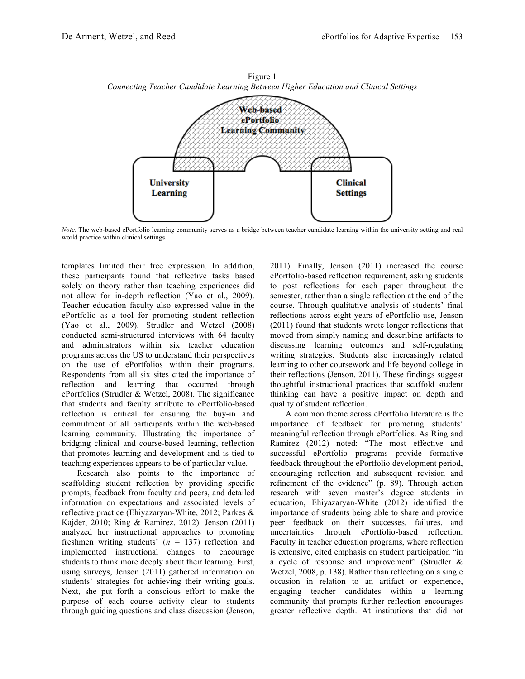

Figure 1 *Connecting Teacher Candidate Learning Between Higher Education and Clinical Settings*

*Note.* The web-based ePortfolio learning community serves as a bridge between teacher candidate learning within the university setting and real world practice within clinical settings.

templates limited their free expression. In addition, these participants found that reflective tasks based solely on theory rather than teaching experiences did not allow for in-depth reflection (Yao et al., 2009). Teacher education faculty also expressed value in the ePortfolio as a tool for promoting student reflection (Yao et al., 2009). Strudler and Wetzel (2008) conducted semi-structured interviews with 64 faculty and administrators within six teacher education programs across the US to understand their perspectives on the use of ePortfolios within their programs. Respondents from all six sites cited the importance of reflection and learning that occurred through ePortfolios (Strudler & Wetzel, 2008). The significance that students and faculty attribute to ePortfolio-based reflection is critical for ensuring the buy-in and commitment of all participants within the web-based learning community. Illustrating the importance of bridging clinical and course-based learning, reflection that promotes learning and development and is tied to teaching experiences appears to be of particular value.

Research also points to the importance of scaffolding student reflection by providing specific prompts, feedback from faculty and peers, and detailed information on expectations and associated levels of reflective practice (Ehiyazaryan-White, 2012; Parkes & Kajder, 2010; Ring & Ramirez, 2012). Jenson (2011) analyzed her instructional approaches to promoting freshmen writing students'  $(n = 137)$  reflection and implemented instructional changes to encourage students to think more deeply about their learning. First, using surveys, Jenson (2011) gathered information on students' strategies for achieving their writing goals. Next, she put forth a conscious effort to make the purpose of each course activity clear to students through guiding questions and class discussion (Jenson,

2011). Finally, Jenson (2011) increased the course ePortfolio-based reflection requirement, asking students to post reflections for each paper throughout the semester, rather than a single reflection at the end of the course. Through qualitative analysis of students' final reflections across eight years of ePortfolio use, Jenson (2011) found that students wrote longer reflections that moved from simply naming and describing artifacts to discussing learning outcomes and self-regulating writing strategies. Students also increasingly related learning to other coursework and life beyond college in their reflections (Jenson, 2011). These findings suggest thoughtful instructional practices that scaffold student thinking can have a positive impact on depth and quality of student reflection.

A common theme across ePortfolio literature is the importance of feedback for promoting students' meaningful reflection through ePortfolios. As Ring and Ramirez (2012) noted: "The most effective and successful ePortfolio programs provide formative feedback throughout the ePortfolio development period, encouraging reflection and subsequent revision and refinement of the evidence" (p. 89). Through action research with seven master's degree students in education, Ehiyazaryan-White (2012) identified the importance of students being able to share and provide peer feedback on their successes, failures, and uncertainties through ePortfolio-based reflection. Faculty in teacher education programs, where reflection is extensive, cited emphasis on student participation "in a cycle of response and improvement" (Strudler & Wetzel, 2008, p. 138). Rather than reflecting on a single occasion in relation to an artifact or experience, engaging teacher candidates within a learning community that prompts further reflection encourages greater reflective depth. At institutions that did not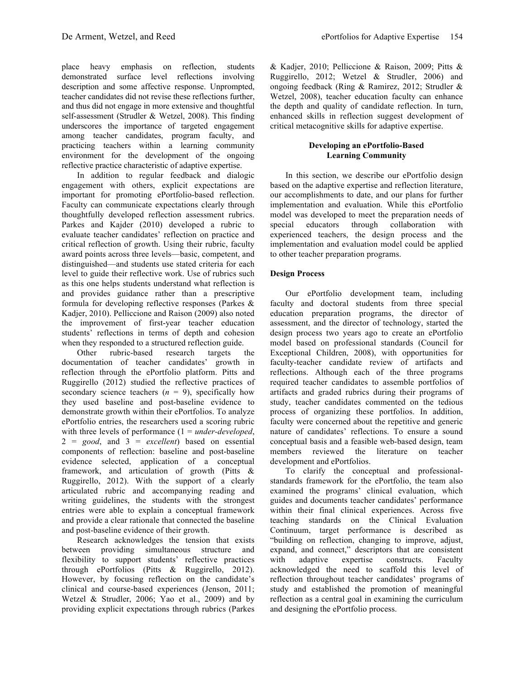place heavy emphasis on reflection, students demonstrated surface level reflections involving description and some affective response. Unprompted, teacher candidates did not revise these reflections further, and thus did not engage in more extensive and thoughtful self-assessment (Strudler & Wetzel, 2008). This finding underscores the importance of targeted engagement among teacher candidates, program faculty, and practicing teachers within a learning community environment for the development of the ongoing reflective practice characteristic of adaptive expertise.

In addition to regular feedback and dialogic engagement with others, explicit expectations are important for promoting ePortfolio-based reflection. Faculty can communicate expectations clearly through thoughtfully developed reflection assessment rubrics. Parkes and Kajder (2010) developed a rubric to evaluate teacher candidates' reflection on practice and critical reflection of growth. Using their rubric, faculty award points across three levels—basic, competent, and distinguished—and students use stated criteria for each level to guide their reflective work. Use of rubrics such as this one helps students understand what reflection is and provides guidance rather than a prescriptive formula for developing reflective responses (Parkes & Kadjer, 2010). Pelliccione and Raison (2009) also noted the improvement of first-year teacher education students' reflections in terms of depth and cohesion when they responded to a structured reflection guide.

Other rubric-based research targets the documentation of teacher candidates' growth in reflection through the ePortfolio platform. Pitts and Ruggirello (2012) studied the reflective practices of secondary science teachers  $(n = 9)$ , specifically how they used baseline and post-baseline evidence to demonstrate growth within their ePortfolios. To analyze ePortfolio entries, the researchers used a scoring rubric with three levels of performance (1 = *under-developed*, 2 = *good*, and 3 = *excellent*) based on essential components of reflection: baseline and post-baseline evidence selected, application of a conceptual framework, and articulation of growth (Pitts & Ruggirello, 2012). With the support of a clearly articulated rubric and accompanying reading and writing guidelines, the students with the strongest entries were able to explain a conceptual framework and provide a clear rationale that connected the baseline and post-baseline evidence of their growth.

Research acknowledges the tension that exists between providing simultaneous structure and flexibility to support students' reflective practices through ePortfolios (Pitts & Ruggirello, 2012). However, by focusing reflection on the candidate's clinical and course-based experiences (Jenson, 2011; Wetzel & Strudler, 2006; Yao et al., 2009) and by providing explicit expectations through rubrics (Parkes & Kadjer, 2010; Pelliccione & Raison, 2009; Pitts & Ruggirello, 2012; Wetzel & Strudler, 2006) and ongoing feedback (Ring & Ramirez, 2012; Strudler & Wetzel, 2008), teacher education faculty can enhance the depth and quality of candidate reflection. In turn, enhanced skills in reflection suggest development of critical metacognitive skills for adaptive expertise.

## **Developing an ePortfolio-Based Learning Community**

In this section, we describe our ePortfolio design based on the adaptive expertise and reflection literature, our accomplishments to date, and our plans for further implementation and evaluation. While this ePortfolio model was developed to meet the preparation needs of special educators through collaboration with experienced teachers, the design process and the implementation and evaluation model could be applied to other teacher preparation programs.

## **Design Process**

Our ePortfolio development team, including faculty and doctoral students from three special education preparation programs, the director of assessment, and the director of technology, started the design process two years ago to create an ePortfolio model based on professional standards (Council for Exceptional Children, 2008), with opportunities for faculty-teacher candidate review of artifacts and reflections. Although each of the three programs required teacher candidates to assemble portfolios of artifacts and graded rubrics during their programs of study, teacher candidates commented on the tedious process of organizing these portfolios. In addition, faculty were concerned about the repetitive and generic nature of candidates' reflections. To ensure a sound conceptual basis and a feasible web-based design, team members reviewed the literature on teacher development and ePortfolios.

To clarify the conceptual and professionalstandards framework for the ePortfolio, the team also examined the programs' clinical evaluation, which guides and documents teacher candidates' performance within their final clinical experiences. Across five teaching standards on the Clinical Evaluation Continuum, target performance is described as "building on reflection, changing to improve, adjust, expand, and connect," descriptors that are consistent with adaptive expertise constructs. Faculty acknowledged the need to scaffold this level of reflection throughout teacher candidates' programs of study and established the promotion of meaningful reflection as a central goal in examining the curriculum and designing the ePortfolio process.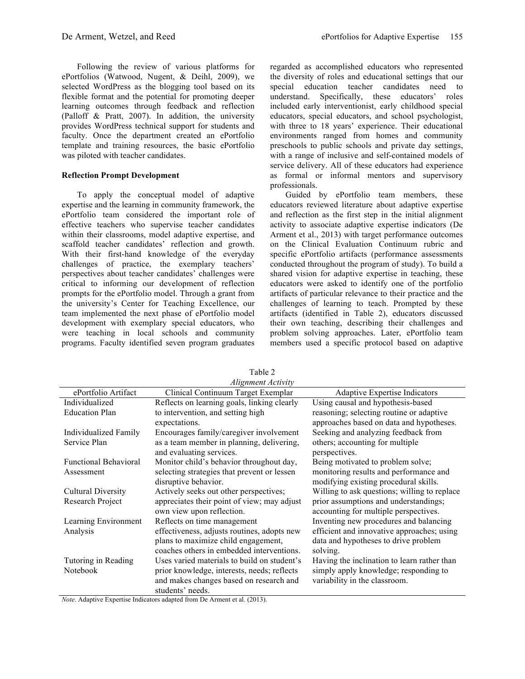Following the review of various platforms for ePortfolios (Watwood, Nugent, & Deihl, 2009), we selected WordPress as the blogging tool based on its flexible format and the potential for promoting deeper learning outcomes through feedback and reflection (Palloff & Pratt, 2007). In addition, the university provides WordPress technical support for students and faculty. Once the department created an ePortfolio template and training resources, the basic ePortfolio was piloted with teacher candidates.

#### **Reflection Prompt Development**

To apply the conceptual model of adaptive expertise and the learning in community framework, the ePortfolio team considered the important role of effective teachers who supervise teacher candidates within their classrooms, model adaptive expertise, and scaffold teacher candidates' reflection and growth. With their first-hand knowledge of the everyday challenges of practice, the exemplary teachers' perspectives about teacher candidates' challenges were critical to informing our development of reflection prompts for the ePortfolio model. Through a grant from the university's Center for Teaching Excellence, our team implemented the next phase of ePortfolio model development with exemplary special educators, who were teaching in local schools and community programs. Faculty identified seven program graduates

regarded as accomplished educators who represented the diversity of roles and educational settings that our special education teacher candidates need to understand. Specifically, these educators' roles included early interventionist, early childhood special educators, special educators, and school psychologist, with three to 18 years' experience. Their educational environments ranged from homes and community preschools to public schools and private day settings, with a range of inclusive and self-contained models of service delivery. All of these educators had experience as formal or informal mentors and supervisory professionals.

Guided by ePortfolio team members, these educators reviewed literature about adaptive expertise and reflection as the first step in the initial alignment activity to associate adaptive expertise indicators (De Arment et al., 2013) with target performance outcomes on the Clinical Evaluation Continuum rubric and specific ePortfolio artifacts (performance assessments conducted throughout the program of study). To build a shared vision for adaptive expertise in teaching, these educators were asked to identify one of the portfolio artifacts of particular relevance to their practice and the challenges of learning to teach. Prompted by these artifacts (identified in Table 2), educators discussed their own teaching, describing their challenges and problem solving approaches. Later, ePortfolio team members used a specific protocol based on adaptive

|                              | Alignment Activity                          |                                              |
|------------------------------|---------------------------------------------|----------------------------------------------|
| ePortfolio Artifact          | Clinical Continuum Target Exemplar          | <b>Adaptive Expertise Indicators</b>         |
| Individualized               | Reflects on learning goals, linking clearly | Using causal and hypothesis-based            |
| <b>Education Plan</b>        | to intervention, and setting high           | reasoning; selecting routine or adaptive     |
|                              | expectations.                               | approaches based on data and hypotheses.     |
| <b>Individualized Family</b> | Encourages family/caregiver involvement     | Seeking and analyzing feedback from          |
| Service Plan                 | as a team member in planning, delivering,   | others; accounting for multiple              |
|                              | and evaluating services.                    | perspectives.                                |
| <b>Functional Behavioral</b> | Monitor child's behavior throughout day,    | Being motivated to problem solve;            |
| Assessment                   | selecting strategies that prevent or lessen | monitoring results and performance and       |
|                              | disruptive behavior.                        | modifying existing procedural skills.        |
| <b>Cultural Diversity</b>    | Actively seeks out other perspectives;      | Willing to ask questions; willing to replace |
| Research Project             | appreciates their point of view; may adjust | prior assumptions and understandings;        |
|                              | own view upon reflection.                   | accounting for multiple perspectives.        |
| Learning Environment         | Reflects on time management                 | Inventing new procedures and balancing       |
| Analysis                     | effectiveness, adjusts routines, adopts new | efficient and innovative approaches; using   |
|                              | plans to maximize child engagement,         | data and hypotheses to drive problem         |
|                              | coaches others in embedded interventions.   | solving.                                     |
| Tutoring in Reading          | Uses varied materials to build on student's | Having the inclination to learn rather than  |
| Notebook                     | prior knowledge, interests, needs; reflects | simply apply knowledge; responding to        |
|                              | and makes changes based on research and     | variability in the classroom.                |
|                              | students' needs.                            |                                              |

Table 2

*Note*. Adaptive Expertise Indicators adapted from De Arment et al. (2013).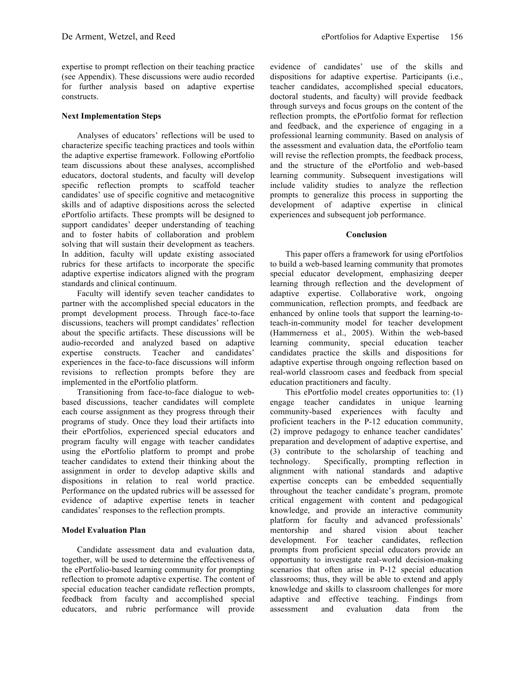expertise to prompt reflection on their teaching practice (see Appendix). These discussions were audio recorded for further analysis based on adaptive expertise constructs.

#### **Next Implementation Steps**

Analyses of educators' reflections will be used to characterize specific teaching practices and tools within the adaptive expertise framework. Following ePortfolio team discussions about these analyses, accomplished educators, doctoral students, and faculty will develop specific reflection prompts to scaffold teacher candidates' use of specific cognitive and metacognitive skills and of adaptive dispositions across the selected ePortfolio artifacts. These prompts will be designed to support candidates' deeper understanding of teaching and to foster habits of collaboration and problem solving that will sustain their development as teachers. In addition, faculty will update existing associated rubrics for these artifacts to incorporate the specific adaptive expertise indicators aligned with the program standards and clinical continuum.

Faculty will identify seven teacher candidates to partner with the accomplished special educators in the prompt development process. Through face-to-face discussions, teachers will prompt candidates' reflection about the specific artifacts. These discussions will be audio-recorded and analyzed based on adaptive expertise constructs. Teacher and candidates' experiences in the face-to-face discussions will inform revisions to reflection prompts before they are implemented in the ePortfolio platform.

Transitioning from face-to-face dialogue to webbased discussions, teacher candidates will complete each course assignment as they progress through their programs of study. Once they load their artifacts into their ePortfolios, experienced special educators and program faculty will engage with teacher candidates using the ePortfolio platform to prompt and probe teacher candidates to extend their thinking about the assignment in order to develop adaptive skills and dispositions in relation to real world practice. Performance on the updated rubrics will be assessed for evidence of adaptive expertise tenets in teacher candidates' responses to the reflection prompts.

### **Model Evaluation Plan**

Candidate assessment data and evaluation data, together, will be used to determine the effectiveness of the ePortfolio-based learning community for prompting reflection to promote adaptive expertise. The content of special education teacher candidate reflection prompts, feedback from faculty and accomplished special educators, and rubric performance will provide

evidence of candidates' use of the skills and dispositions for adaptive expertise. Participants (i.e., teacher candidates, accomplished special educators, doctoral students, and faculty) will provide feedback through surveys and focus groups on the content of the reflection prompts, the ePortfolio format for reflection and feedback, and the experience of engaging in a professional learning community. Based on analysis of the assessment and evaluation data, the ePortfolio team will revise the reflection prompts, the feedback process, and the structure of the ePortfolio and web-based learning community. Subsequent investigations will include validity studies to analyze the reflection prompts to generalize this process in supporting the development of adaptive expertise in clinical experiences and subsequent job performance.

#### **Conclusion**

This paper offers a framework for using ePortfolios to build a web-based learning community that promotes special educator development, emphasizing deeper learning through reflection and the development of adaptive expertise. Collaborative work, ongoing communication, reflection prompts, and feedback are enhanced by online tools that support the learning-toteach-in-community model for teacher development (Hammerness et al., 2005). Within the web-based learning community, special education teacher candidates practice the skills and dispositions for adaptive expertise through ongoing reflection based on real-world classroom cases and feedback from special education practitioners and faculty.

This ePortfolio model creates opportunities to: (1) engage teacher candidates in unique learning community-based experiences with faculty and proficient teachers in the P-12 education community, (2) improve pedagogy to enhance teacher candidates' preparation and development of adaptive expertise, and (3) contribute to the scholarship of teaching and technology. Specifically, prompting reflection in alignment with national standards and adaptive expertise concepts can be embedded sequentially throughout the teacher candidate's program, promote critical engagement with content and pedagogical knowledge, and provide an interactive community platform for faculty and advanced professionals' mentorship and shared vision about teacher development. For teacher candidates, reflection prompts from proficient special educators provide an opportunity to investigate real-world decision-making scenarios that often arise in P-12 special education classrooms; thus, they will be able to extend and apply knowledge and skills to classroom challenges for more adaptive and effective teaching. Findings from assessment and evaluation data from the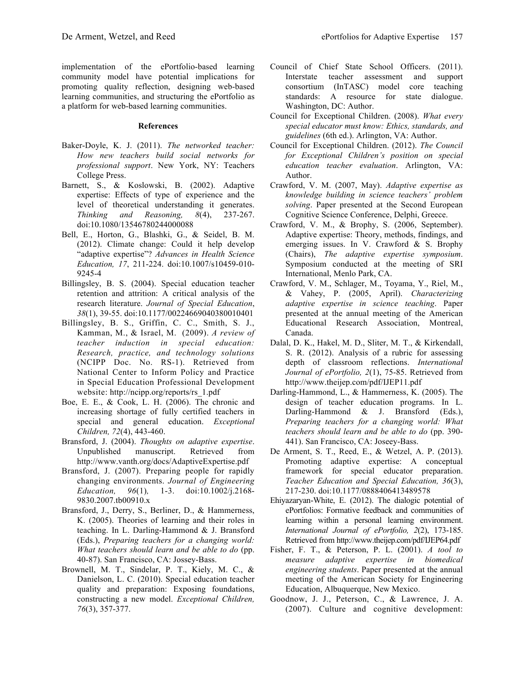implementation of the ePortfolio-based learning community model have potential implications for promoting quality reflection, designing web-based learning communities, and structuring the ePortfolio as a platform for web-based learning communities.

#### **References**

- Baker-Doyle, K. J. (2011). *The networked teacher: How new teachers build social networks for professional support*. New York, NY: Teachers College Press.
- Barnett, S., & Koslowski, B. (2002). Adaptive expertise: Effects of type of experience and the level of theoretical understanding it generates. *Thinking and Reasoning, 8*(4), 237-267. doi:10.1080/13546780244000088
- Bell, E., Horton, G., Blashki, G., & Seidel, B. M. (2012). Climate change: Could it help develop "adaptive expertise"? *Advances in Health Science Education, 17*, 211-224. doi:10.1007/s10459-010- 9245-4
- Billingsley, B. S. (2004). Special education teacher retention and attrition: A critical analysis of the research literature. *Journal of Special Education*, *38*(1), 39-55. doi:10.1177/00224669040380010401
- Billingsley, B. S., Griffin, C. C., Smith, S. J., Kamman, M., & Israel, M. (2009). *A review of teacher induction in special education: Research, practice, and technology solutions* (NCIPP Doc. No. RS-1). Retrieved from National Center to Inform Policy and Practice in Special Education Professional Development website: http://ncipp.org/reports/rs\_1.pdf
- Boe, E. E., & Cook, L. H. (2006). The chronic and increasing shortage of fully certified teachers in special and general education. *Exceptional Children, 72*(4), 443-460.
- Bransford, J. (2004). *Thoughts on adaptive expertise*. Unpublished manuscript. Retrieved from http://www.vanth.org/docs/AdaptiveExpertise.pdf
- Bransford, J. (2007). Preparing people for rapidly changing environments. *Journal of Engineering Education, 96*(1)*,* 1-3. doi:10.1002/j.2168- 9830.2007.tb00910.x
- Bransford, J., Derry, S., Berliner, D., & Hammerness, K. (2005). Theories of learning and their roles in teaching. In L. Darling-Hammond & J. Bransford (Eds.), *Preparing teachers for a changing world: What teachers should learn and be able to do* (pp. 40-87). San Francisco, CA: Jossey-Bass.
- Brownell, M. T., Sindelar, P. T., Kiely, M. C., & Danielson, L. C. (2010). Special education teacher quality and preparation: Exposing foundations, constructing a new model. *Exceptional Children, 76*(3), 357-377.
- Council of Chief State School Officers. (2011). Interstate teacher assessment and support consortium (InTASC) model core teaching standards: A resource for state dialogue. Washington, DC: Author.
- Council for Exceptional Children. (2008). *What every special educator must know: Ethics, standards, and guidelines* (6th ed.). Arlington, VA: Author.
- Council for Exceptional Children. (2012). *The Council for Exceptional Children's position on special education teacher evaluation*. Arlington, VA: Author.
- Crawford, V. M. (2007, May). *Adaptive expertise as knowledge building in science teachers' problem solving*. Paper presented at the Second European Cognitive Science Conference, Delphi, Greece.
- Crawford, V. M., & Brophy, S. (2006, September). Adaptive expertise: Theory, methods, findings, and emerging issues. In V. Crawford & S. Brophy (Chairs), *The adaptive expertise symposium*. Symposium conducted at the meeting of SRI International, Menlo Park, CA.
- Crawford, V. M., Schlager, M., Toyama, Y., Riel, M., & Vahey, P. (2005, April). *Characterizing adaptive expertise in science teaching*. Paper presented at the annual meeting of the American Educational Research Association, Montreal, Canada.
- Dalal, D. K., Hakel, M. D., Sliter, M. T., & Kirkendall, S. R. (2012). Analysis of a rubric for assessing depth of classroom reflections. *International Journal of ePortfolio, 2*(1), 75-85. Retrieved from http://www.theijep.com/pdf/IJEP11.pdf
- Darling-Hammond, L., & Hammerness, K. (2005). The design of teacher education programs. In L. Darling-Hammond & J. Bransford (Eds.), *Preparing teachers for a changing world: What teachers should learn and be able to do* (pp. 390- 441). San Francisco, CA: Joseey-Bass.
- De Arment, S. T., Reed, E., & Wetzel, A. P. (2013). Promoting adaptive expertise: A conceptual framework for special educator preparation. *Teacher Education and Special Education, 36*(3), 217-230. doi:10.1177/0888406413489578
- Ehiyazaryan-White, E. (2012). The dialogic potential of ePortfolios: Formative feedback and communities of learning within a personal learning environment. *International Journal of ePortfolio, 2*(2), 173-185. Retrieved from http://www.theijep.com/pdf/IJEP64.pdf
- Fisher, F. T., & Peterson, P. L. (2001). *A tool to measure adaptive expertise in biomedical engineering students*. Paper presented at the annual meeting of the American Society for Engineering Education, Albuquerque, New Mexico.
- Goodnow, J. J., Peterson, C., & Lawrence, J. A. (2007). Culture and cognitive development: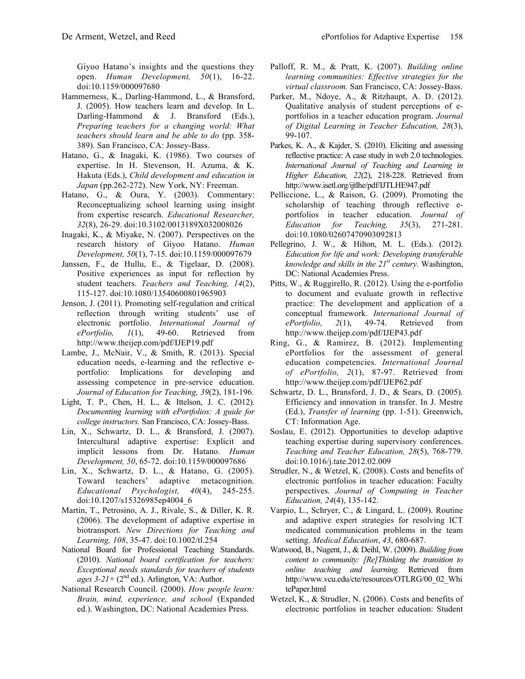Giyoo Hatano's insights and the questions they open. *Human Development, 50*(1), 16-22. doi:10.1159/000097680

- Hammerness, K., Darling-Hammond, L., & Bransford, J. (2005). How teachers learn and develop. In L. Darling-Hammond & J. Bransford (Eds.), *Preparing teachers for a changing world: What teachers should learn and be able to do* (pp. 358- 389). San Francisco, CA: Jossey-Bass.
- Hatano, G., & Inagaki, K. (1986). Two courses of expertise. In H. Stevenson, H. Azuma, & K. Hakuta (Eds.), *Child development and education in Japan* (pp.262-272). New York, NY: Freeman.
- Hatano, G., & Oura, Y. (2003). Commentary: Reconceptualizing school learning using insight from expertise research. *Educational Researcher, 32*(8), 26-29. doi:10.3102/0013189X032008026
- Inagaki, K., & Miyake, N. (2007). Perspectives on the research history of Giyoo Hatano. *Human Development, 50*(1), 7-15. doi:10.1159/000097679
- Janssen, F., de Hullu, E., & Tigelaar, D. (2008). Positive experiences as input for reflection by student teachers. *Teachers and Teaching, 14*(2), 115-127. doi:10.1080/13540600801965903
- Jenson, J. (2011). Promoting self-regulation and critical reflection through writing students' use of electronic portfolio. *International Journal of ePortfolio, 1*(1), 49-60. Retrieved from http://www.theijep.com/pdf/IJEP19.pdf
- Lambe, J., McNair, V., & Smith, R. (2013). Special education needs, e-learning and the reflective eportfolio: Implications for developing and assessing competence in pre-service education. *Journal of Education for Teaching, 39*(2), 181-196.
- Light, T. P., Chen, H. L., & Ittelson, J. C. (2012). *Documenting learning with ePortfolios: A guide for college instructors.* San Francisco, CA: Jossey-Bass.
- Lin, X., Schwartz, D. L., & Bransford, J. (2007). Intercultural adaptive expertise: Explicit and implicit lessons from Dr. Hatano. *Human Development, 50*, 65-72. doi:10.1159/000097686
- Lin, X., Schwartz, D. L., & Hatano, G. (2005). Toward teachers' adaptive metacognition. *Educational Psychologist, 40*(4), 245-255. doi:10.1207/s15326985ep4004\_6
- Martin, T., Petrosino, A. J., Rivale, S., & Diller, K. R. (2006). The development of adaptive expertise in biotransport. *New Directions for Teaching and Learning, 108*, 35-47. doi:10.1002/tl.254
- National Board for Professional Teaching Standards. (2010). *National board certification for teachers: Exceptional needs standards for teachers of students*   $ages \, 3-21+$  (2<sup>nd</sup> ed.). Arlington, VA: Author.
- National Research Council. (2000). *How people learn: Brain, mind, experience, and school* (Expanded ed.). Washington, DC: National Academies Press.
- Palloff, R. M., & Pratt, K. (2007). *Building online learning communities: Effective strategies for the virtual classroom.* San Francisco, CA: Jossey-Bass.
- Parker, M., Ndoye, A., & Ritzhaupt, A. D. (2012). Qualitative analysis of student perceptions of eportfolios in a teacher education program. *Journal of Digital Learning in Teacher Education, 28*(3), 99-107.
- Parkes, K. A., & Kajder, S. (2010). Eliciting and assessing reflective practice: A case study in web 2.0 technologies. *International Journal of Teaching and Learning in Higher Education, 22*(2), 218-228. Retrieved from http://www.isetl.org/ijtlhe/pdf/IJTLHE947.pdf
- Pelliccione, L., & Raison, G. (2009). Promoting the scholarship of teaching through reflective eportfolios in teacher education. *Journal of Education for Teaching, 35*(3), 271-281. doi:10.1080/02607470903092813
- Pellegrino, J. W., & Hilton, M. L. (Eds.). (2012). *Education for life and work: Developing transferable knowledge and skills in the 21st century.* Washington, DC: National Academies Press.
- Pitts, W., & Ruggirello, R. (2012). Using the e-portfolio to document and evaluate growth in reflective practice: The development and application of a conceptual framework. *International Journal of ePortfolio, 2*(1), 49-74. Retrieved from http://www.theijep.com/pdf/IJEP43.pdf
- Ring, G., & Ramirez, B. (2012). Implementing ePortfolios for the assessment of general education competencies. *International Journal of ePortfolio, 2*(1), 87-97. Retrieved from http://www.theijep.com/pdf/IJEP62.pdf
- Schwartz, D. L., Bransford, J. D., & Sears, D. (2005). Efficiency and innovation in transfer. In J. Mestre (Ed.), *Transfer of learning* (pp. 1-51). Greenwich, CT: Information Age.
- Soslau, E. (2012). Opportunities to develop adaptive teaching expertise during supervisory conferences. *Teaching and Teacher Education, 28*(5), 768-779. doi:10.1016/j.tate.2012.02.009
- Strudler, N., & Wetzel, K. (2008). Costs and benefits of electronic portfolios in teacher education: Faculty perspectives. *Journal of Computing in Teacher Education, 24*(4), 135-142.
- Varpio, L., Schryer, C., & Lingard, L. (2009). Routine and adaptive expert strategies for resolving ICT medicated communication problems in the team setting. *Medical Education*, *43*, 680-687.
- Watwood, B., Nugent, J., & Deihl, W. (2009). *Building from content to community: [Re]Thinking the transition to online teaching and learning.* Retrieved from http://www.vcu.edu/cte/resources/OTLRG/00\_02\_Whi tePaper.html
- Wetzel, K., & Strudler, N. (2006). Costs and benefits of electronic portfolios in teacher education: Student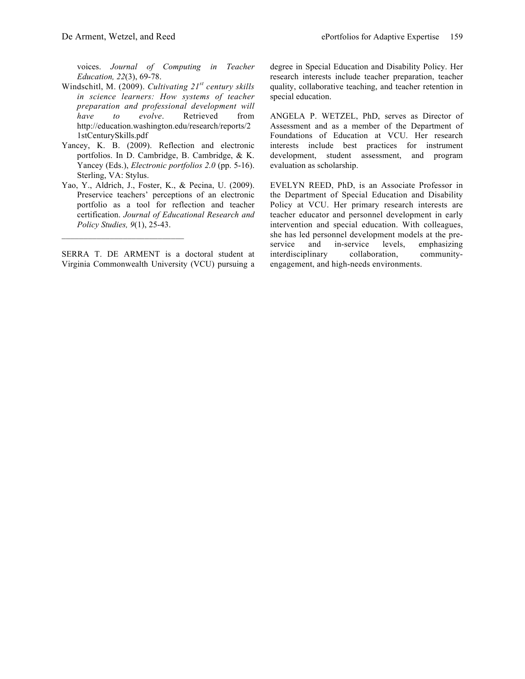voices. *Journal of Computing in Teacher Education, 22*(3), 69-78.

- Windschitl, M. (2009). *Cultivating 21st century skills in science learners: How systems of teacher preparation and professional development will have to evolve*. Retrieved from http://education.washington.edu/research/reports/2 1stCenturySkills.pdf
- Yancey, K. B. (2009). Reflection and electronic portfolios. In D. Cambridge, B. Cambridge, & K. Yancey (Eds.), *Electronic portfolios 2.0* (pp. 5-16). Sterling, VA: Stylus.
- Yao, Y., Aldrich, J., Foster, K., & Pecina, U. (2009). Preservice teachers' perceptions of an electronic portfolio as a tool for reflection and teacher certification. *Journal of Educational Research and Policy Studies, 9*(1), 25-43.

SERRA T. DE ARMENT is a doctoral student at Virginia Commonwealth University (VCU) pursuing a

 $\mathcal{L}_\text{max}$  , and the set of the set of the set of the set of the set of the set of the set of the set of the set of the set of the set of the set of the set of the set of the set of the set of the set of the set of the

degree in Special Education and Disability Policy. Her research interests include teacher preparation, teacher quality, collaborative teaching, and teacher retention in special education.

ANGELA P. WETZEL, PhD, serves as Director of Assessment and as a member of the Department of Foundations of Education at VCU. Her research interests include best practices for instrument development, student assessment, and program evaluation as scholarship.

EVELYN REED, PhD, is an Associate Professor in the Department of Special Education and Disability Policy at VCU. Her primary research interests are teacher educator and personnel development in early intervention and special education. With colleagues, she has led personnel development models at the pre-<br>service and in-service levels, emphasizing service and in-service levels, emphasizing interdisciplinary collaboration, communityengagement, and high-needs environments.